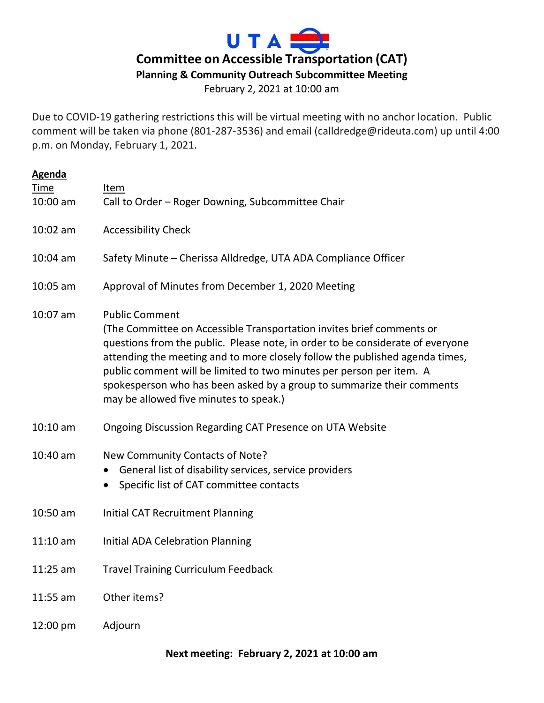

February 2, 2021 at 10:00 am

Due to COVID-19 gathering restrictions this will be virtual meeting with no anchor location. Public comment will be taken via phone (801-287-3536) and email (calldredge@rideuta.com) up until 4:00 p.m. on Monday, February 1, 2021.

| <b>Agenda</b> |                                                                                                                                                                                                                                                                                                                                                                                                                                                              |
|---------------|--------------------------------------------------------------------------------------------------------------------------------------------------------------------------------------------------------------------------------------------------------------------------------------------------------------------------------------------------------------------------------------------------------------------------------------------------------------|
| Time          | Item                                                                                                                                                                                                                                                                                                                                                                                                                                                         |
| 10:00 am      | Call to Order - Roger Downing, Subcommittee Chair                                                                                                                                                                                                                                                                                                                                                                                                            |
| $10:02$ am    | <b>Accessibility Check</b>                                                                                                                                                                                                                                                                                                                                                                                                                                   |
| $10:04$ am    | Safety Minute - Cherissa Alldredge, UTA ADA Compliance Officer                                                                                                                                                                                                                                                                                                                                                                                               |
| 10:05 am      | Approval of Minutes from December 1, 2020 Meeting                                                                                                                                                                                                                                                                                                                                                                                                            |
| 10:07 am      | <b>Public Comment</b><br>(The Committee on Accessible Transportation invites brief comments or<br>questions from the public. Please note, in order to be considerate of everyone<br>attending the meeting and to more closely follow the published agenda times,<br>public comment will be limited to two minutes per person per item. A<br>spokesperson who has been asked by a group to summarize their comments<br>may be allowed five minutes to speak.) |
| $10:10$ am    | Ongoing Discussion Regarding CAT Presence on UTA Website                                                                                                                                                                                                                                                                                                                                                                                                     |
| $10:40$ am    | New Community Contacts of Note?<br>General list of disability services, service providers<br>$\bullet$<br>Specific list of CAT committee contacts                                                                                                                                                                                                                                                                                                            |
| 10:50 am      | <b>Initial CAT Recruitment Planning</b>                                                                                                                                                                                                                                                                                                                                                                                                                      |
| $11:10$ am    | <b>Initial ADA Celebration Planning</b>                                                                                                                                                                                                                                                                                                                                                                                                                      |
| $11:25$ am    | <b>Travel Training Curriculum Feedback</b>                                                                                                                                                                                                                                                                                                                                                                                                                   |
| $11:55$ am    | Other items?                                                                                                                                                                                                                                                                                                                                                                                                                                                 |
| 12:00 pm      | Adjourn                                                                                                                                                                                                                                                                                                                                                                                                                                                      |